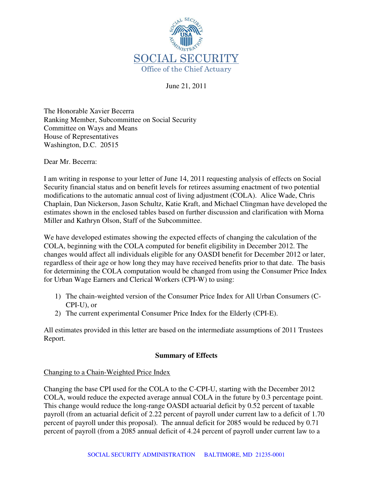

June 21, 2011

The Honorable Xavier Becerra Ranking Member, Subcommittee on Social Security Committee on Ways and Means House of Representatives Washington, D.C. 20515

Dear Mr. Becerra:

I am writing in response to your letter of June 14, 2011 requesting analysis of effects on Social Security financial status and on benefit levels for retirees assuming enactment of two potential modifications to the automatic annual cost of living adjustment (COLA). Alice Wade, Chris Chaplain, Dan Nickerson, Jason Schultz, Katie Kraft, and Michael Clingman have developed the estimates shown in the enclosed tables based on further discussion and clarification with Morna Miller and Kathryn Olson, Staff of the Subcommittee.

We have developed estimates showing the expected effects of changing the calculation of the COLA, beginning with the COLA computed for benefit eligibility in December 2012. The changes would affect all individuals eligible for any OASDI benefit for December 2012 or later, regardless of their age or how long they may have received benefits prior to that date. The basis for determining the COLA computation would be changed from using the Consumer Price Index for Urban Wage Earners and Clerical Workers (CPI-W) to using:

- 1) The chain-weighted version of the Consumer Price Index for All Urban Consumers (C-CPI-U), or
- 2) The current experimental Consumer Price Index for the Elderly (CPI-E).

All estimates provided in this letter are based on the intermediate assumptions of 2011 Trustees Report.

#### **Summary of Effects**

#### Changing to a Chain-Weighted Price Index

Changing the base CPI used for the COLA to the C-CPI-U, starting with the December 2012 COLA, would reduce the expected average annual COLA in the future by 0.3 percentage point. This change would reduce the long-range OASDI actuarial deficit by 0.52 percent of taxable payroll (from an actuarial deficit of 2.22 percent of payroll under current law to a deficit of 1.70 percent of payroll under this proposal). The annual deficit for 2085 would be reduced by 0.71 percent of payroll (from a 2085 annual deficit of 4.24 percent of payroll under current law to a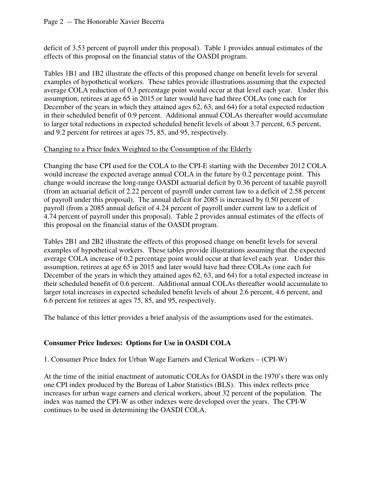deficit of 3.53 percent of payroll under this proposal). Table 1 provides annual estimates of the effects of this proposal on the financial status of the OASDI program.

Tables 1B1 and 1B2 illustrate the effects of this proposed change on benefit levels for several examples of hypothetical workers. These tables provide illustrations assuming that the expected average COLA reduction of 0.3 percentage point would occur at that level each year. Under this assumption, retirees at age 65 in 2015 or later would have had three COLAs (one each for December of the years in which they attained ages 62, 63, and 64) for a total expected reduction in their scheduled benefit of 0.9 percent. Additional annual COLAs thereafter would accumulate to larger total reductions in expected scheduled benefit levels of about 3.7 percent, 6.5 percent, and 9.2 percent for retirees at ages 75, 85, and 95, respectively.

## Changing to a Price Index Weighted to the Consumption of the Elderly

Changing the base CPI used for the COLA to the CPI-E starting with the December 2012 COLA would increase the expected average annual COLA in the future by 0.2 percentage point. This change would increase the long-range OASDI actuarial deficit by 0.36 percent of taxable payroll (from an actuarial deficit of 2.22 percent of payroll under current law to a deficit of 2.58 percent of payroll under this proposal). The annual deficit for 2085 is increased by 0.50 percent of payroll (from a 2085 annual deficit of 4.24 percent of payroll under current law to a deficit of 4.74 percent of payroll under this proposal). Table 2 provides annual estimates of the effects of this proposal on the financial status of the OASDI program.

Tables 2B1 and 2B2 illustrate the effects of this proposed change on benefit levels for several examples of hypothetical workers. These tables provide illustrations assuming that the expected average COLA increase of 0.2 percentage point would occur at that level each year. Under this assumption, retirees at age 65 in 2015 and later would have had three COLAs (one each for December of the years in which they attained ages 62, 63, and 64) for a total expected increase in their scheduled benefit of 0.6 percent. Additional annual COLAs thereafter would accumulate to larger total increases in expected scheduled benefit levels of about 2.6 percent, 4.6 percent, and 6.6 percent for retirees at ages 75, 85, and 95, respectively.

The balance of this letter provides a brief analysis of the assumptions used for the estimates.

## **Consumer Price Indexes: Options for Use in OASDI COLA**

1. Consumer Price Index for Urban Wage Earners and Clerical Workers – (CPI-W)

At the time of the initial enactment of automatic COLAs for OASDI in the 1970's there was only one CPI index produced by the Bureau of Labor Statistics (BLS). This index reflects price increases for urban wage earners and clerical workers, about 32 percent of the population. The index was named the CPI-W as other indexes were developed over the years. The CPI-W continues to be used in determining the OASDI COLA.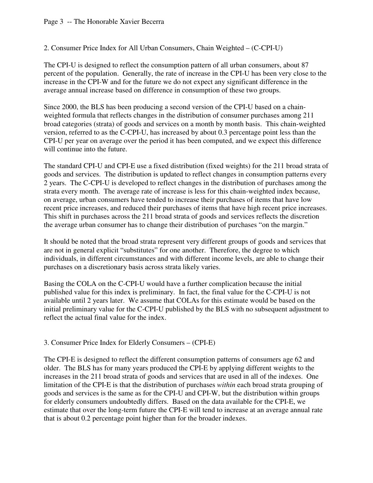2. Consumer Price Index for All Urban Consumers, Chain Weighted – (C-CPI-U)

The CPI-U is designed to reflect the consumption pattern of all urban consumers, about 87 percent of the population. Generally, the rate of increase in the CPI-U has been very close to the increase in the CPI-W and for the future we do not expect any significant difference in the average annual increase based on difference in consumption of these two groups.

Since 2000, the BLS has been producing a second version of the CPI-U based on a chainweighted formula that reflects changes in the distribution of consumer purchases among 211 broad categories (strata) of goods and services on a month by month basis. This chain-weighted version, referred to as the C-CPI-U, has increased by about 0.3 percentage point less than the CPI-U per year on average over the period it has been computed, and we expect this difference will continue into the future.

The standard CPI-U and CPI-E use a fixed distribution (fixed weights) for the 211 broad strata of goods and services. The distribution is updated to reflect changes in consumption patterns every 2 years. The C-CPI-U is developed to reflect changes in the distribution of purchases among the strata every month. The average rate of increase is less for this chain-weighted index because, on average, urban consumers have tended to increase their purchases of items that have low recent price increases, and reduced their purchases of items that have high recent price increases. This shift in purchases across the 211 broad strata of goods and services reflects the discretion the average urban consumer has to change their distribution of purchases "on the margin."

It should be noted that the broad strata represent very different groups of goods and services that are not in general explicit "substitutes" for one another. Therefore, the degree to which individuals, in different circumstances and with different income levels, are able to change their purchases on a discretionary basis across strata likely varies.

Basing the COLA on the C-CPI-U would have a further complication because the initial published value for this index is preliminary. In fact, the final value for the C-CPI-U is not available until 2 years later. We assume that COLAs for this estimate would be based on the initial preliminary value for the C-CPI-U published by the BLS with no subsequent adjustment to reflect the actual final value for the index.

3. Consumer Price Index for Elderly Consumers – (CPI-E)

The CPI-E is designed to reflect the different consumption patterns of consumers age 62 and older. The BLS has for many years produced the CPI-E by applying different weights to the increases in the 211 broad strata of goods and services that are used in all of the indexes. One limitation of the CPI-E is that the distribution of purchases *within* each broad strata grouping of goods and services is the same as for the CPI-U and CPI-W, but the distribution within groups for elderly consumers undoubtedly differs. Based on the data available for the CPI-E, we estimate that over the long-term future the CPI-E will tend to increase at an average annual rate that is about 0.2 percentage point higher than for the broader indexes.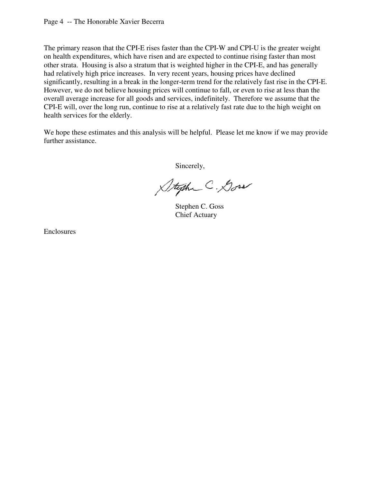The primary reason that the CPI-E rises faster than the CPI-W and CPI-U is the greater weight on health expenditures, which have risen and are expected to continue rising faster than most other strata. Housing is also a stratum that is weighted higher in the CPI-E, and has generally had relatively high price increases. In very recent years, housing prices have declined significantly, resulting in a break in the longer-term trend for the relatively fast rise in the CPI-E. However, we do not believe housing prices will continue to fall, or even to rise at less than the overall average increase for all goods and services, indefinitely. Therefore we assume that the CPI-E will, over the long run, continue to rise at a relatively fast rate due to the high weight on health services for the elderly.

We hope these estimates and this analysis will be helpful. Please let me know if we may provide further assistance.

Sincerely,

Stephe C. Goss

 Stephen C. Goss Chief Actuary

Enclosures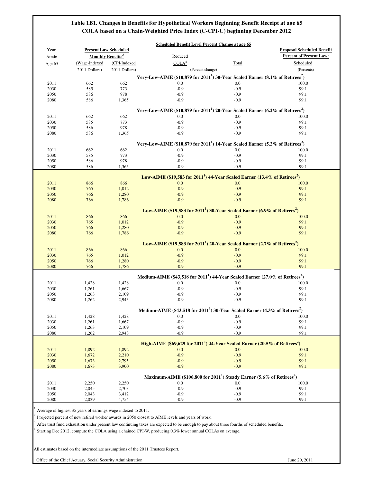## **Table 1B1. Changes in Benefits for Hypothetical Workers Beginning Benefit Receipt at age 65 COLA based on a Chain-Weighted Price Index (C-CPI-U) beginning December 2012**

| Year         | <b>Present Law Scheduled</b>        |                |                                                                                                        |               | <b>Proposal Scheduled Benefit</b> |
|--------------|-------------------------------------|----------------|--------------------------------------------------------------------------------------------------------|---------------|-----------------------------------|
| Attain       | <b>Monthly Benefits<sup>3</sup></b> |                | Reduced                                                                                                |               | <b>Percent of Present Law:</b>    |
| Age 65       | (Wage-Indexed                       | (CPI-Indexed   | COLA <sup>4</sup>                                                                                      | Total         | Scheduled                         |
|              | 2011 Dollars)                       | 2011 Dollars)  | (Percent change)                                                                                       |               | (Percents)                        |
|              |                                     |                | Very-Low-AIME (\$10,879 for $20111$ ) 30-Year Scaled Earner (8.1% of Retirees <sup>2</sup> )           |               |                                   |
| 2011         | 662                                 | 662            | $0.0\,$                                                                                                | 0.0           | 100.0                             |
| 2030         | 585                                 | 773            | $-0.9$                                                                                                 | $-0.9$        | 99.1                              |
| 2050         | 586                                 | 978            | $-0.9$                                                                                                 | $-0.9$        | 99.1                              |
| 2080         | 586                                 | 1,365          | $-0.9$                                                                                                 | $-0.9$        | 99.1                              |
|              |                                     |                |                                                                                                        |               |                                   |
|              |                                     |                | Very-Low-AIME (\$10,879 for 2011 <sup>1</sup> ) 20-Year Scaled Earner (6.2% of Retirees <sup>2</sup> ) |               |                                   |
| 2011         | 662                                 | 662            | 0.0                                                                                                    | 0.0           | 100.0                             |
| 2030         | 585                                 | 773            | $-0.9$                                                                                                 | $-0.9$        | 99.1                              |
| 2050         | 586                                 | 978            | $-0.9$                                                                                                 | $-0.9$        | 99.1                              |
| 2080         | 586                                 | 1,365          | $-0.9$                                                                                                 | $-0.9$        | 99.1                              |
|              |                                     |                |                                                                                                        |               |                                   |
|              |                                     |                | Very-Low-AIME (\$10,879 for $20111$ ) 14-Year Scaled Earner (5.2% of Retirees <sup>2</sup> )           |               |                                   |
| 2011         | 662                                 | 662            | 0.0                                                                                                    | 0.0           | 100.0                             |
| 2030         | 585                                 | 773            | $-0.9$                                                                                                 | $-0.9$        | 99.1                              |
| 2050         | 586                                 | 978            | $-0.9$                                                                                                 | $-0.9$        | 99.1                              |
| 2080         | 586                                 | 1,365          | $-0.9$                                                                                                 | $-0.9$        | 99.1                              |
|              |                                     |                | Low-AIME (\$19,583 for $20111$ ) 44-Year Scaled Earner (13.4% of Retirees <sup>2</sup> )               |               |                                   |
|              |                                     | 866            |                                                                                                        |               |                                   |
| 2011         | 866                                 |                | 0.0<br>$-0.9$                                                                                          | 0.0<br>$-0.9$ | 100.0<br>99.1                     |
| 2030<br>2050 | 765<br>766                          | 1,012          | $-0.9$                                                                                                 | $-0.9$        | 99.1                              |
| 2080         | 766                                 | 1,280<br>1,786 | $-0.9$                                                                                                 | $-0.9$        | 99.1                              |
|              |                                     |                |                                                                                                        |               |                                   |
|              |                                     |                | Low-AIME (\$19,583 for $20111$ ) 30-Year Scaled Earner (6.9% of Retirees <sup>2</sup> )                |               |                                   |
| 2011         | 866                                 | 866            | 0.0                                                                                                    | 0.0           | 100.0                             |
| 2030         | 765                                 | 1,012          | $-0.9$                                                                                                 | $-0.9$        | 99.1                              |
| 2050         | 766                                 | 1,280          | $-0.9$                                                                                                 | $-0.9$        | 99.1                              |
| 2080         | 766                                 | 1,786          | $-0.9$                                                                                                 | $-0.9$        | 99.1                              |
|              |                                     |                |                                                                                                        |               |                                   |
|              |                                     |                | Low-AIME (\$19,583 for 2011 <sup>1</sup> ) 20-Year Scaled Earner (2.7% of Retirees <sup>2</sup> )      |               |                                   |
| 2011         | 866                                 | 866            | 0.0                                                                                                    | 0.0           | 100.0                             |
| 2030         | 765                                 | 1,012          | $-0.9$                                                                                                 | $-0.9$        | 99.1                              |
| 2050         | 766                                 | 1,280          | $-0.9$                                                                                                 | $-0.9$        | 99.1                              |
| 2080         | 766                                 | 1,786          | $-0.9$                                                                                                 | $-0.9$        | 99.1                              |
|              |                                     |                |                                                                                                        |               |                                   |
|              |                                     |                | Medium-AIME (\$43,518 for 2011 <sup>1</sup> ) 44-Year Scaled Earner (27.0% of Retirees <sup>2</sup> )  |               |                                   |
| 2011         | 1,428                               | 1,428          | 0.0                                                                                                    | 0.0           | 100.0                             |
| 2030         | 1,261                               | 1,667          | $-0.9$                                                                                                 | $-0.9$        | 99.1                              |
| 2050         | 1,263                               | 2,109          | $-0.9$                                                                                                 | $-0.9$        | 99.1                              |
| 2080         | 1,262                               | 2,943          | $-0.9$                                                                                                 | $-0.9$        | 99.1                              |
|              |                                     |                | Medium-AIME (\$43,518 for 2011 <sup>1</sup> ) 30-Year Scaled Earner (4.3% of Retirees <sup>2</sup> )   |               |                                   |
| 2011         | 1,428                               | 1,428          | 0.0                                                                                                    | 0.0           | 100.0                             |
| 2030         | 1,261                               | 1,667          | $-0.9$                                                                                                 | $-0.9$        | 99.1                              |
| 2050         | 1,263                               | 2,109          | $-0.9$                                                                                                 | $-0.9$        | 99.1                              |
| 2080         | 1,262                               | 2,943          | $-0.9$                                                                                                 | $-0.9$        | 99.1                              |
|              |                                     |                |                                                                                                        |               |                                   |
|              |                                     |                | High-AIME (\$69,629 for 2011 <sup>1</sup> ) 44-Year Scaled Earner (20.5% of Retirees <sup>2</sup> )    |               |                                   |
| 2011         | 1,892                               | 1,892          | 0.0                                                                                                    | 0.0           | 100.0                             |
| 2030         | 1,672                               | 2,210          | $-0.9$                                                                                                 | $-0.9$        | 99.1                              |
| 2050         | 1,673                               | 2,795          | $-0.9$                                                                                                 | $-0.9$        | 99.1                              |
| 2080         | 1,673                               | 3,900          | $-0.9$                                                                                                 | $-0.9$        | 99.1                              |
|              |                                     |                |                                                                                                        |               |                                   |
|              |                                     |                | Maximum-AIME (\$106,800 for 2011 <sup>1</sup> ) Steady Earner (5.6% of Retirees <sup>2</sup> )         |               |                                   |
| 2011         | 2,250                               | 2,250          | 0.0                                                                                                    | 0.0           | 100.0                             |
| 2030         | 2,045                               | 2,703          | $-0.9$                                                                                                 | $-0.9$        | 99.1                              |
| 2050<br>2080 | 2,043                               | 3,412          | $-0.9$                                                                                                 | $-0.9$        | 99.1                              |
|              | 2,039                               | 4,754          | $-0.9$                                                                                                 | $-0.9$        | 99.1                              |

 $3$  After trust fund exhaustion under present law continuing taxes are expected to be enough to pay about three fourths of scheduled benefits.

4 Starting Dec 2012, compute the COLA using a chained CPI-W, producing 0.3% lower annual COLAs on average.

All estimates based on the intermediate assumptions of the 2011 Trustees Report.

Office of the Chief Actuary, Social Security Administration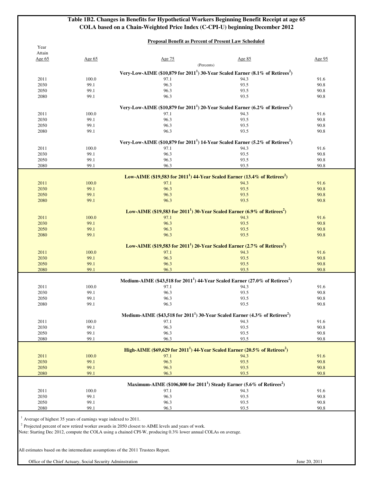**Table 1B2. Changes in Benefits for Hypothetical Workers Beginning Benefit Receipt at age 65 COLA based on a Chain-Weighted Price Index (C-CPI-U) beginning December 2012**

## **Proposal Benefit as Percent of Present Law Scheduled**

| (Percents)<br>Very-Low-AIME (\$10,879 for 2011 <sup>1</sup> ) 30-Year Scaled Earner (8.1% of Retirees <sup>2</sup> )<br>94.3<br>91.6<br>2011<br>100.0<br>97.1<br>96.3<br>2030<br>99.1<br>93.5<br>90.8<br>96.3<br>2050<br>99.1<br>93.5<br>90.8<br>96.3<br>2080<br>99.1<br>93.5<br>90.8<br>Very-Low-AIME (\$10,879 for 2011 <sup>1</sup> ) 20-Year Scaled Earner (6.2% of Retirees <sup>2</sup> )<br>91.6<br>2011<br>100.0<br>94.3<br>97.1<br>96.3<br>2030<br>99.1<br>93.5<br>90.8<br>2050<br>99.1<br>96.3<br>93.5<br>90.8<br>96.3<br>93.5<br>90.8<br>2080<br>99.1<br>Very-Low-AIME (\$10,879 for $20111$ ) 14-Year Scaled Earner (5.2% of Retirees <sup>2</sup> )<br>2011<br>100.0<br>97.1<br>94.3<br>91.6<br>96.3<br>2030<br>99.1<br>93.5<br>90.8<br>99.1<br>96.3<br>93.5<br>90.8<br>2050<br>90.8<br>2080<br>99.1<br>96.3<br>93.5<br>Low-AIME (\$19,583 for 2011 <sup>1</sup> ) 44-Year Scaled Earner (13.4% of Retirees <sup>2</sup> )<br>2011<br>91.6<br>100.0<br>97.1<br>94.3<br>96.3<br>93.5<br>2030<br>99.1<br>90.8<br>2050<br>99.1<br>96.3<br>93.5<br>90.8<br>96.3<br>90.8<br>99.1<br>93.5<br>2080<br>Low-AIME (\$19,583 for 2011 <sup>1</sup> ) 30-Year Scaled Earner (6.9% of Retirees <sup>2</sup> )<br>91.6<br>2011<br>100.0<br>97.1<br>94.3<br>2030<br>99.1<br>96.3<br>93.5<br>90.8<br>2050<br>99.1<br>96.3<br>93.5<br>90.8<br>96.3<br>2080<br>93.5<br>90.8<br>99.1<br>Low-AIME (\$19,583 for 2011 <sup>1</sup> ) 20-Year Scaled Earner (2.7% of Retirees <sup>2</sup> )<br>100.0<br>91.6<br>2011<br>97.1<br>94.3<br>90.8<br>2030<br>99.1<br>96.3<br>93.5<br>2050<br>99.1<br>96.3<br>93.5<br>90.8<br>96.3<br>2080<br>99.1<br>93.5<br>90.8<br>Medium-AIME (\$43,518 for 2011 <sup>1</sup> ) 44-Year Scaled Earner (27.0% of Retirees <sup>2</sup> )<br>2011<br>100.0<br>97.1<br>94.3<br>91.6<br>96.3<br>93.5<br>90.8<br>2030<br>99.1<br>96.3<br>2050<br>99.1<br>93.5<br>90.8<br>2080<br>96.3<br>93.5<br>90.8<br>99.1<br>Medium-AIME (\$43,518 for 2011 <sup>1</sup> ) 30-Year Scaled Earner (4.3% of Retirees <sup>2</sup> )<br>2011<br>100.0<br>97.1<br>94.3<br>91.6<br>96.3<br>93.5<br>90.8<br>2030<br>99.1<br>96.3<br>93.5<br>90.8<br>2050<br>99.1<br>99.1<br>96.3<br>93.5<br>90.8<br>2080<br>High-AIME (\$69,629 for 2011 <sup>1</sup> ) 44-Year Scaled Earner (20.5% of Retirees <sup>2</sup> )<br>2011<br>100.0<br>97.1<br>94.3<br>91.6<br>2030<br>96.3<br>93.5<br>99.1<br>90.8<br>2050<br>99.1<br>96.3<br>93.5<br>90.8<br>99.1<br>96.3<br>93.5<br>90.8<br>2080<br>Maximum-AIME (\$106,800 for 2011 <sup>1</sup> ) Steady Earner (5.6% of Retirees <sup>2</sup> )<br>2011<br>100.0<br>97.1<br>94.3<br>91.6<br>96.3<br>93.5<br>2030<br>99.1<br>90.8<br>2050<br>96.3<br>93.5<br>90.8<br>99.1 | Attain<br>Age 65 | Age $65$ | Age 75 | Age 85 | Age 95 |
|------------------------------------------------------------------------------------------------------------------------------------------------------------------------------------------------------------------------------------------------------------------------------------------------------------------------------------------------------------------------------------------------------------------------------------------------------------------------------------------------------------------------------------------------------------------------------------------------------------------------------------------------------------------------------------------------------------------------------------------------------------------------------------------------------------------------------------------------------------------------------------------------------------------------------------------------------------------------------------------------------------------------------------------------------------------------------------------------------------------------------------------------------------------------------------------------------------------------------------------------------------------------------------------------------------------------------------------------------------------------------------------------------------------------------------------------------------------------------------------------------------------------------------------------------------------------------------------------------------------------------------------------------------------------------------------------------------------------------------------------------------------------------------------------------------------------------------------------------------------------------------------------------------------------------------------------------------------------------------------------------------------------------------------------------------------------------------------------------------------------------------------------------------------------------------------------------------------------------------------------------------------------------------------------------------------------------------------------------------------------------------------------------------------------------------------------------------------------------------------------------------------------------------------------------------------------------------------------------------------------------------------------------------------------------------------------------------|------------------|----------|--------|--------|--------|
|                                                                                                                                                                                                                                                                                                                                                                                                                                                                                                                                                                                                                                                                                                                                                                                                                                                                                                                                                                                                                                                                                                                                                                                                                                                                                                                                                                                                                                                                                                                                                                                                                                                                                                                                                                                                                                                                                                                                                                                                                                                                                                                                                                                                                                                                                                                                                                                                                                                                                                                                                                                                                                                                                                            |                  |          |        |        |        |
|                                                                                                                                                                                                                                                                                                                                                                                                                                                                                                                                                                                                                                                                                                                                                                                                                                                                                                                                                                                                                                                                                                                                                                                                                                                                                                                                                                                                                                                                                                                                                                                                                                                                                                                                                                                                                                                                                                                                                                                                                                                                                                                                                                                                                                                                                                                                                                                                                                                                                                                                                                                                                                                                                                            |                  |          |        |        |        |
|                                                                                                                                                                                                                                                                                                                                                                                                                                                                                                                                                                                                                                                                                                                                                                                                                                                                                                                                                                                                                                                                                                                                                                                                                                                                                                                                                                                                                                                                                                                                                                                                                                                                                                                                                                                                                                                                                                                                                                                                                                                                                                                                                                                                                                                                                                                                                                                                                                                                                                                                                                                                                                                                                                            |                  |          |        |        |        |
|                                                                                                                                                                                                                                                                                                                                                                                                                                                                                                                                                                                                                                                                                                                                                                                                                                                                                                                                                                                                                                                                                                                                                                                                                                                                                                                                                                                                                                                                                                                                                                                                                                                                                                                                                                                                                                                                                                                                                                                                                                                                                                                                                                                                                                                                                                                                                                                                                                                                                                                                                                                                                                                                                                            |                  |          |        |        |        |
|                                                                                                                                                                                                                                                                                                                                                                                                                                                                                                                                                                                                                                                                                                                                                                                                                                                                                                                                                                                                                                                                                                                                                                                                                                                                                                                                                                                                                                                                                                                                                                                                                                                                                                                                                                                                                                                                                                                                                                                                                                                                                                                                                                                                                                                                                                                                                                                                                                                                                                                                                                                                                                                                                                            |                  |          |        |        |        |
|                                                                                                                                                                                                                                                                                                                                                                                                                                                                                                                                                                                                                                                                                                                                                                                                                                                                                                                                                                                                                                                                                                                                                                                                                                                                                                                                                                                                                                                                                                                                                                                                                                                                                                                                                                                                                                                                                                                                                                                                                                                                                                                                                                                                                                                                                                                                                                                                                                                                                                                                                                                                                                                                                                            |                  |          |        |        |        |
|                                                                                                                                                                                                                                                                                                                                                                                                                                                                                                                                                                                                                                                                                                                                                                                                                                                                                                                                                                                                                                                                                                                                                                                                                                                                                                                                                                                                                                                                                                                                                                                                                                                                                                                                                                                                                                                                                                                                                                                                                                                                                                                                                                                                                                                                                                                                                                                                                                                                                                                                                                                                                                                                                                            |                  |          |        |        |        |
|                                                                                                                                                                                                                                                                                                                                                                                                                                                                                                                                                                                                                                                                                                                                                                                                                                                                                                                                                                                                                                                                                                                                                                                                                                                                                                                                                                                                                                                                                                                                                                                                                                                                                                                                                                                                                                                                                                                                                                                                                                                                                                                                                                                                                                                                                                                                                                                                                                                                                                                                                                                                                                                                                                            |                  |          |        |        |        |
|                                                                                                                                                                                                                                                                                                                                                                                                                                                                                                                                                                                                                                                                                                                                                                                                                                                                                                                                                                                                                                                                                                                                                                                                                                                                                                                                                                                                                                                                                                                                                                                                                                                                                                                                                                                                                                                                                                                                                                                                                                                                                                                                                                                                                                                                                                                                                                                                                                                                                                                                                                                                                                                                                                            |                  |          |        |        |        |
|                                                                                                                                                                                                                                                                                                                                                                                                                                                                                                                                                                                                                                                                                                                                                                                                                                                                                                                                                                                                                                                                                                                                                                                                                                                                                                                                                                                                                                                                                                                                                                                                                                                                                                                                                                                                                                                                                                                                                                                                                                                                                                                                                                                                                                                                                                                                                                                                                                                                                                                                                                                                                                                                                                            |                  |          |        |        |        |
|                                                                                                                                                                                                                                                                                                                                                                                                                                                                                                                                                                                                                                                                                                                                                                                                                                                                                                                                                                                                                                                                                                                                                                                                                                                                                                                                                                                                                                                                                                                                                                                                                                                                                                                                                                                                                                                                                                                                                                                                                                                                                                                                                                                                                                                                                                                                                                                                                                                                                                                                                                                                                                                                                                            |                  |          |        |        |        |
|                                                                                                                                                                                                                                                                                                                                                                                                                                                                                                                                                                                                                                                                                                                                                                                                                                                                                                                                                                                                                                                                                                                                                                                                                                                                                                                                                                                                                                                                                                                                                                                                                                                                                                                                                                                                                                                                                                                                                                                                                                                                                                                                                                                                                                                                                                                                                                                                                                                                                                                                                                                                                                                                                                            |                  |          |        |        |        |
|                                                                                                                                                                                                                                                                                                                                                                                                                                                                                                                                                                                                                                                                                                                                                                                                                                                                                                                                                                                                                                                                                                                                                                                                                                                                                                                                                                                                                                                                                                                                                                                                                                                                                                                                                                                                                                                                                                                                                                                                                                                                                                                                                                                                                                                                                                                                                                                                                                                                                                                                                                                                                                                                                                            |                  |          |        |        |        |
|                                                                                                                                                                                                                                                                                                                                                                                                                                                                                                                                                                                                                                                                                                                                                                                                                                                                                                                                                                                                                                                                                                                                                                                                                                                                                                                                                                                                                                                                                                                                                                                                                                                                                                                                                                                                                                                                                                                                                                                                                                                                                                                                                                                                                                                                                                                                                                                                                                                                                                                                                                                                                                                                                                            |                  |          |        |        |        |
|                                                                                                                                                                                                                                                                                                                                                                                                                                                                                                                                                                                                                                                                                                                                                                                                                                                                                                                                                                                                                                                                                                                                                                                                                                                                                                                                                                                                                                                                                                                                                                                                                                                                                                                                                                                                                                                                                                                                                                                                                                                                                                                                                                                                                                                                                                                                                                                                                                                                                                                                                                                                                                                                                                            |                  |          |        |        |        |
|                                                                                                                                                                                                                                                                                                                                                                                                                                                                                                                                                                                                                                                                                                                                                                                                                                                                                                                                                                                                                                                                                                                                                                                                                                                                                                                                                                                                                                                                                                                                                                                                                                                                                                                                                                                                                                                                                                                                                                                                                                                                                                                                                                                                                                                                                                                                                                                                                                                                                                                                                                                                                                                                                                            |                  |          |        |        |        |
|                                                                                                                                                                                                                                                                                                                                                                                                                                                                                                                                                                                                                                                                                                                                                                                                                                                                                                                                                                                                                                                                                                                                                                                                                                                                                                                                                                                                                                                                                                                                                                                                                                                                                                                                                                                                                                                                                                                                                                                                                                                                                                                                                                                                                                                                                                                                                                                                                                                                                                                                                                                                                                                                                                            |                  |          |        |        |        |
|                                                                                                                                                                                                                                                                                                                                                                                                                                                                                                                                                                                                                                                                                                                                                                                                                                                                                                                                                                                                                                                                                                                                                                                                                                                                                                                                                                                                                                                                                                                                                                                                                                                                                                                                                                                                                                                                                                                                                                                                                                                                                                                                                                                                                                                                                                                                                                                                                                                                                                                                                                                                                                                                                                            |                  |          |        |        |        |
|                                                                                                                                                                                                                                                                                                                                                                                                                                                                                                                                                                                                                                                                                                                                                                                                                                                                                                                                                                                                                                                                                                                                                                                                                                                                                                                                                                                                                                                                                                                                                                                                                                                                                                                                                                                                                                                                                                                                                                                                                                                                                                                                                                                                                                                                                                                                                                                                                                                                                                                                                                                                                                                                                                            |                  |          |        |        |        |
|                                                                                                                                                                                                                                                                                                                                                                                                                                                                                                                                                                                                                                                                                                                                                                                                                                                                                                                                                                                                                                                                                                                                                                                                                                                                                                                                                                                                                                                                                                                                                                                                                                                                                                                                                                                                                                                                                                                                                                                                                                                                                                                                                                                                                                                                                                                                                                                                                                                                                                                                                                                                                                                                                                            |                  |          |        |        |        |
|                                                                                                                                                                                                                                                                                                                                                                                                                                                                                                                                                                                                                                                                                                                                                                                                                                                                                                                                                                                                                                                                                                                                                                                                                                                                                                                                                                                                                                                                                                                                                                                                                                                                                                                                                                                                                                                                                                                                                                                                                                                                                                                                                                                                                                                                                                                                                                                                                                                                                                                                                                                                                                                                                                            |                  |          |        |        |        |
|                                                                                                                                                                                                                                                                                                                                                                                                                                                                                                                                                                                                                                                                                                                                                                                                                                                                                                                                                                                                                                                                                                                                                                                                                                                                                                                                                                                                                                                                                                                                                                                                                                                                                                                                                                                                                                                                                                                                                                                                                                                                                                                                                                                                                                                                                                                                                                                                                                                                                                                                                                                                                                                                                                            |                  |          |        |        |        |
|                                                                                                                                                                                                                                                                                                                                                                                                                                                                                                                                                                                                                                                                                                                                                                                                                                                                                                                                                                                                                                                                                                                                                                                                                                                                                                                                                                                                                                                                                                                                                                                                                                                                                                                                                                                                                                                                                                                                                                                                                                                                                                                                                                                                                                                                                                                                                                                                                                                                                                                                                                                                                                                                                                            |                  |          |        |        |        |
|                                                                                                                                                                                                                                                                                                                                                                                                                                                                                                                                                                                                                                                                                                                                                                                                                                                                                                                                                                                                                                                                                                                                                                                                                                                                                                                                                                                                                                                                                                                                                                                                                                                                                                                                                                                                                                                                                                                                                                                                                                                                                                                                                                                                                                                                                                                                                                                                                                                                                                                                                                                                                                                                                                            |                  |          |        |        |        |
|                                                                                                                                                                                                                                                                                                                                                                                                                                                                                                                                                                                                                                                                                                                                                                                                                                                                                                                                                                                                                                                                                                                                                                                                                                                                                                                                                                                                                                                                                                                                                                                                                                                                                                                                                                                                                                                                                                                                                                                                                                                                                                                                                                                                                                                                                                                                                                                                                                                                                                                                                                                                                                                                                                            |                  |          |        |        |        |
|                                                                                                                                                                                                                                                                                                                                                                                                                                                                                                                                                                                                                                                                                                                                                                                                                                                                                                                                                                                                                                                                                                                                                                                                                                                                                                                                                                                                                                                                                                                                                                                                                                                                                                                                                                                                                                                                                                                                                                                                                                                                                                                                                                                                                                                                                                                                                                                                                                                                                                                                                                                                                                                                                                            |                  |          |        |        |        |
|                                                                                                                                                                                                                                                                                                                                                                                                                                                                                                                                                                                                                                                                                                                                                                                                                                                                                                                                                                                                                                                                                                                                                                                                                                                                                                                                                                                                                                                                                                                                                                                                                                                                                                                                                                                                                                                                                                                                                                                                                                                                                                                                                                                                                                                                                                                                                                                                                                                                                                                                                                                                                                                                                                            |                  |          |        |        |        |
|                                                                                                                                                                                                                                                                                                                                                                                                                                                                                                                                                                                                                                                                                                                                                                                                                                                                                                                                                                                                                                                                                                                                                                                                                                                                                                                                                                                                                                                                                                                                                                                                                                                                                                                                                                                                                                                                                                                                                                                                                                                                                                                                                                                                                                                                                                                                                                                                                                                                                                                                                                                                                                                                                                            |                  |          |        |        |        |
|                                                                                                                                                                                                                                                                                                                                                                                                                                                                                                                                                                                                                                                                                                                                                                                                                                                                                                                                                                                                                                                                                                                                                                                                                                                                                                                                                                                                                                                                                                                                                                                                                                                                                                                                                                                                                                                                                                                                                                                                                                                                                                                                                                                                                                                                                                                                                                                                                                                                                                                                                                                                                                                                                                            |                  |          |        |        |        |
|                                                                                                                                                                                                                                                                                                                                                                                                                                                                                                                                                                                                                                                                                                                                                                                                                                                                                                                                                                                                                                                                                                                                                                                                                                                                                                                                                                                                                                                                                                                                                                                                                                                                                                                                                                                                                                                                                                                                                                                                                                                                                                                                                                                                                                                                                                                                                                                                                                                                                                                                                                                                                                                                                                            |                  |          |        |        |        |
|                                                                                                                                                                                                                                                                                                                                                                                                                                                                                                                                                                                                                                                                                                                                                                                                                                                                                                                                                                                                                                                                                                                                                                                                                                                                                                                                                                                                                                                                                                                                                                                                                                                                                                                                                                                                                                                                                                                                                                                                                                                                                                                                                                                                                                                                                                                                                                                                                                                                                                                                                                                                                                                                                                            |                  |          |        |        |        |
|                                                                                                                                                                                                                                                                                                                                                                                                                                                                                                                                                                                                                                                                                                                                                                                                                                                                                                                                                                                                                                                                                                                                                                                                                                                                                                                                                                                                                                                                                                                                                                                                                                                                                                                                                                                                                                                                                                                                                                                                                                                                                                                                                                                                                                                                                                                                                                                                                                                                                                                                                                                                                                                                                                            |                  |          |        |        |        |
|                                                                                                                                                                                                                                                                                                                                                                                                                                                                                                                                                                                                                                                                                                                                                                                                                                                                                                                                                                                                                                                                                                                                                                                                                                                                                                                                                                                                                                                                                                                                                                                                                                                                                                                                                                                                                                                                                                                                                                                                                                                                                                                                                                                                                                                                                                                                                                                                                                                                                                                                                                                                                                                                                                            |                  |          |        |        |        |
|                                                                                                                                                                                                                                                                                                                                                                                                                                                                                                                                                                                                                                                                                                                                                                                                                                                                                                                                                                                                                                                                                                                                                                                                                                                                                                                                                                                                                                                                                                                                                                                                                                                                                                                                                                                                                                                                                                                                                                                                                                                                                                                                                                                                                                                                                                                                                                                                                                                                                                                                                                                                                                                                                                            |                  |          |        |        |        |
|                                                                                                                                                                                                                                                                                                                                                                                                                                                                                                                                                                                                                                                                                                                                                                                                                                                                                                                                                                                                                                                                                                                                                                                                                                                                                                                                                                                                                                                                                                                                                                                                                                                                                                                                                                                                                                                                                                                                                                                                                                                                                                                                                                                                                                                                                                                                                                                                                                                                                                                                                                                                                                                                                                            |                  |          |        |        |        |
|                                                                                                                                                                                                                                                                                                                                                                                                                                                                                                                                                                                                                                                                                                                                                                                                                                                                                                                                                                                                                                                                                                                                                                                                                                                                                                                                                                                                                                                                                                                                                                                                                                                                                                                                                                                                                                                                                                                                                                                                                                                                                                                                                                                                                                                                                                                                                                                                                                                                                                                                                                                                                                                                                                            |                  |          |        |        |        |
|                                                                                                                                                                                                                                                                                                                                                                                                                                                                                                                                                                                                                                                                                                                                                                                                                                                                                                                                                                                                                                                                                                                                                                                                                                                                                                                                                                                                                                                                                                                                                                                                                                                                                                                                                                                                                                                                                                                                                                                                                                                                                                                                                                                                                                                                                                                                                                                                                                                                                                                                                                                                                                                                                                            |                  |          |        |        |        |
|                                                                                                                                                                                                                                                                                                                                                                                                                                                                                                                                                                                                                                                                                                                                                                                                                                                                                                                                                                                                                                                                                                                                                                                                                                                                                                                                                                                                                                                                                                                                                                                                                                                                                                                                                                                                                                                                                                                                                                                                                                                                                                                                                                                                                                                                                                                                                                                                                                                                                                                                                                                                                                                                                                            |                  |          |        |        |        |
|                                                                                                                                                                                                                                                                                                                                                                                                                                                                                                                                                                                                                                                                                                                                                                                                                                                                                                                                                                                                                                                                                                                                                                                                                                                                                                                                                                                                                                                                                                                                                                                                                                                                                                                                                                                                                                                                                                                                                                                                                                                                                                                                                                                                                                                                                                                                                                                                                                                                                                                                                                                                                                                                                                            |                  |          |        |        |        |
|                                                                                                                                                                                                                                                                                                                                                                                                                                                                                                                                                                                                                                                                                                                                                                                                                                                                                                                                                                                                                                                                                                                                                                                                                                                                                                                                                                                                                                                                                                                                                                                                                                                                                                                                                                                                                                                                                                                                                                                                                                                                                                                                                                                                                                                                                                                                                                                                                                                                                                                                                                                                                                                                                                            |                  |          |        |        |        |
|                                                                                                                                                                                                                                                                                                                                                                                                                                                                                                                                                                                                                                                                                                                                                                                                                                                                                                                                                                                                                                                                                                                                                                                                                                                                                                                                                                                                                                                                                                                                                                                                                                                                                                                                                                                                                                                                                                                                                                                                                                                                                                                                                                                                                                                                                                                                                                                                                                                                                                                                                                                                                                                                                                            |                  |          |        |        |        |
|                                                                                                                                                                                                                                                                                                                                                                                                                                                                                                                                                                                                                                                                                                                                                                                                                                                                                                                                                                                                                                                                                                                                                                                                                                                                                                                                                                                                                                                                                                                                                                                                                                                                                                                                                                                                                                                                                                                                                                                                                                                                                                                                                                                                                                                                                                                                                                                                                                                                                                                                                                                                                                                                                                            |                  |          |        |        |        |
|                                                                                                                                                                                                                                                                                                                                                                                                                                                                                                                                                                                                                                                                                                                                                                                                                                                                                                                                                                                                                                                                                                                                                                                                                                                                                                                                                                                                                                                                                                                                                                                                                                                                                                                                                                                                                                                                                                                                                                                                                                                                                                                                                                                                                                                                                                                                                                                                                                                                                                                                                                                                                                                                                                            |                  |          |        |        |        |
|                                                                                                                                                                                                                                                                                                                                                                                                                                                                                                                                                                                                                                                                                                                                                                                                                                                                                                                                                                                                                                                                                                                                                                                                                                                                                                                                                                                                                                                                                                                                                                                                                                                                                                                                                                                                                                                                                                                                                                                                                                                                                                                                                                                                                                                                                                                                                                                                                                                                                                                                                                                                                                                                                                            |                  |          |        |        |        |
|                                                                                                                                                                                                                                                                                                                                                                                                                                                                                                                                                                                                                                                                                                                                                                                                                                                                                                                                                                                                                                                                                                                                                                                                                                                                                                                                                                                                                                                                                                                                                                                                                                                                                                                                                                                                                                                                                                                                                                                                                                                                                                                                                                                                                                                                                                                                                                                                                                                                                                                                                                                                                                                                                                            |                  |          |        |        |        |
|                                                                                                                                                                                                                                                                                                                                                                                                                                                                                                                                                                                                                                                                                                                                                                                                                                                                                                                                                                                                                                                                                                                                                                                                                                                                                                                                                                                                                                                                                                                                                                                                                                                                                                                                                                                                                                                                                                                                                                                                                                                                                                                                                                                                                                                                                                                                                                                                                                                                                                                                                                                                                                                                                                            |                  |          |        |        |        |
|                                                                                                                                                                                                                                                                                                                                                                                                                                                                                                                                                                                                                                                                                                                                                                                                                                                                                                                                                                                                                                                                                                                                                                                                                                                                                                                                                                                                                                                                                                                                                                                                                                                                                                                                                                                                                                                                                                                                                                                                                                                                                                                                                                                                                                                                                                                                                                                                                                                                                                                                                                                                                                                                                                            |                  |          |        |        |        |
|                                                                                                                                                                                                                                                                                                                                                                                                                                                                                                                                                                                                                                                                                                                                                                                                                                                                                                                                                                                                                                                                                                                                                                                                                                                                                                                                                                                                                                                                                                                                                                                                                                                                                                                                                                                                                                                                                                                                                                                                                                                                                                                                                                                                                                                                                                                                                                                                                                                                                                                                                                                                                                                                                                            |                  |          |        |        |        |
|                                                                                                                                                                                                                                                                                                                                                                                                                                                                                                                                                                                                                                                                                                                                                                                                                                                                                                                                                                                                                                                                                                                                                                                                                                                                                                                                                                                                                                                                                                                                                                                                                                                                                                                                                                                                                                                                                                                                                                                                                                                                                                                                                                                                                                                                                                                                                                                                                                                                                                                                                                                                                                                                                                            |                  |          |        |        |        |
|                                                                                                                                                                                                                                                                                                                                                                                                                                                                                                                                                                                                                                                                                                                                                                                                                                                                                                                                                                                                                                                                                                                                                                                                                                                                                                                                                                                                                                                                                                                                                                                                                                                                                                                                                                                                                                                                                                                                                                                                                                                                                                                                                                                                                                                                                                                                                                                                                                                                                                                                                                                                                                                                                                            |                  |          |        |        |        |
|                                                                                                                                                                                                                                                                                                                                                                                                                                                                                                                                                                                                                                                                                                                                                                                                                                                                                                                                                                                                                                                                                                                                                                                                                                                                                                                                                                                                                                                                                                                                                                                                                                                                                                                                                                                                                                                                                                                                                                                                                                                                                                                                                                                                                                                                                                                                                                                                                                                                                                                                                                                                                                                                                                            |                  |          |        |        |        |
|                                                                                                                                                                                                                                                                                                                                                                                                                                                                                                                                                                                                                                                                                                                                                                                                                                                                                                                                                                                                                                                                                                                                                                                                                                                                                                                                                                                                                                                                                                                                                                                                                                                                                                                                                                                                                                                                                                                                                                                                                                                                                                                                                                                                                                                                                                                                                                                                                                                                                                                                                                                                                                                                                                            |                  |          |        |        |        |
|                                                                                                                                                                                                                                                                                                                                                                                                                                                                                                                                                                                                                                                                                                                                                                                                                                                                                                                                                                                                                                                                                                                                                                                                                                                                                                                                                                                                                                                                                                                                                                                                                                                                                                                                                                                                                                                                                                                                                                                                                                                                                                                                                                                                                                                                                                                                                                                                                                                                                                                                                                                                                                                                                                            |                  |          |        |        |        |
|                                                                                                                                                                                                                                                                                                                                                                                                                                                                                                                                                                                                                                                                                                                                                                                                                                                                                                                                                                                                                                                                                                                                                                                                                                                                                                                                                                                                                                                                                                                                                                                                                                                                                                                                                                                                                                                                                                                                                                                                                                                                                                                                                                                                                                                                                                                                                                                                                                                                                                                                                                                                                                                                                                            | 2080             | 99.1     | 96.3   | 93.5   | 90.8   |

All estimates based on the intermediate assumptions of the 2011 Trustees Report.

Office of the Chief Actuary, Social Security Adminstration June 20, 2011

Year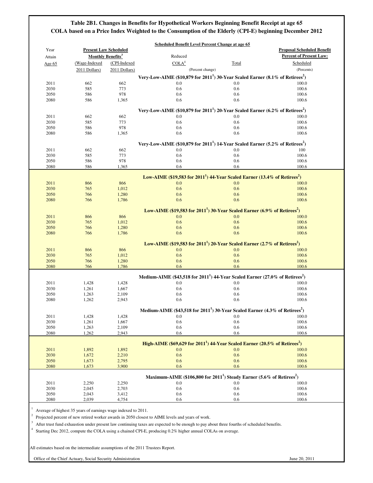## **Table 2B1. Changes in Benefits for Hypothetical Workers Beginning Benefit Receipt at age 65 COLA based on a Price Index Weighted to the Consumption of the Elderly (CPI-E) beginning December 2012**

| Year                         | <b>Present Law Scheduled</b>        |                |                                                                                                       |            | <b>Proposal Scheduled Benefit</b> |
|------------------------------|-------------------------------------|----------------|-------------------------------------------------------------------------------------------------------|------------|-----------------------------------|
| Attain                       | <b>Monthly Benefits<sup>3</sup></b> |                | Reduced                                                                                               |            | <b>Percent of Present Law:</b>    |
| Age 65                       | (Wage-Indexed                       | (CPI-Indexed   | COLA <sup>4</sup>                                                                                     | Total      | Scheduled                         |
|                              | 2011 Dollars)                       | 2011 Dollars)  | (Percent change)                                                                                      |            | (Percents)                        |
|                              |                                     |                | Very-Low-AIME (\$10,879 for $20111$ ) 30-Year Scaled Earner (8.1% of Retirees <sup>2</sup> )          |            |                                   |
| 2011                         | 662                                 | 662            | 0.0                                                                                                   | 0.0        | 100.0                             |
| 2030                         | 585                                 | 773            | 0.6                                                                                                   | 0.6        | 100.6                             |
| 2050                         | 586                                 | 978            | 0.6                                                                                                   | 0.6        | 100.6                             |
| 2080                         | 586                                 | 1,365          | 0.6                                                                                                   | 0.6        | 100.6                             |
|                              |                                     |                |                                                                                                       |            |                                   |
|                              |                                     |                | Very-Low-AIME (\$10,879 for $20111$ ) 20-Year Scaled Earner (6.2% of Retirees <sup>2</sup> )          |            |                                   |
| 2011                         | 662                                 | 662            | 0.0                                                                                                   | $0.0\,$    | 100.0                             |
| 2030                         | 585                                 | 773            | 0.6                                                                                                   | 0.6        | 100.6                             |
| 2050                         | 586                                 | 978            | 0.6                                                                                                   | 0.6        | 100.6                             |
| 2080                         | 586                                 | 1,365          | 0.6                                                                                                   | 0.6        | 100.6                             |
|                              |                                     |                | Very-Low-AIME (\$10,879 for $20111$ ) 14-Year Scaled Earner (5.2% of Retirees <sup>2</sup> )          |            |                                   |
| 2011                         | 662                                 | 662            | 0.0                                                                                                   | 0.0        | 100                               |
| 2030                         | 585                                 | 773            | 0.6                                                                                                   | 0.6        | 100.6                             |
| 2050                         | 586                                 | 978            | 0.6                                                                                                   | 0.6        | 100.6                             |
| 2080                         | 586                                 | 1,365          | 0.6                                                                                                   | 0.6        | 100.6                             |
|                              |                                     |                |                                                                                                       |            |                                   |
|                              |                                     |                | Low-AIME (\$19,583 for $20111$ ) 44-Year Scaled Earner (13.4% of Retirees <sup>2</sup> )              |            |                                   |
| 2011                         | 866                                 | 866            | 0.0                                                                                                   | 0.0        | 100.0                             |
| 2030                         | 765                                 | 1,012          | 0.6                                                                                                   | 0.6        | 100.6                             |
| 2050                         | 766                                 | 1,280          | 0.6                                                                                                   | 0.6        | 100.6                             |
| 2080                         | 766                                 | 1,786          | 0.6                                                                                                   | 0.6        | 100.6                             |
|                              |                                     |                |                                                                                                       |            |                                   |
|                              |                                     |                | Low-AIME $(\$19,583$ for $2011^1)$ 30-Year Scaled Earner (6.9% of Retirees <sup>2</sup> )             |            |                                   |
| 2011                         | 866                                 | 866            | 0.0                                                                                                   | 0.0        | 100.0                             |
| 2030                         | 765                                 | 1,012          | 0.6                                                                                                   | 0.6        | 100.6                             |
| 2050                         | 766                                 | 1,280          | 0.6                                                                                                   | 0.6        | 100.6                             |
| 2080                         | 766                                 | 1,786          | 0.6                                                                                                   | 0.6        | 100.6                             |
|                              |                                     |                | Low-AIME (\$19,583 for 2011 <sup>1</sup> ) 20-Year Scaled Earner (2.7% of Retirees <sup>2</sup> )     |            |                                   |
| 2011                         | 866                                 | 866            | 0.0                                                                                                   | 0.0        | 100.0                             |
| 2030                         | 765                                 | 1,012          | 0.6                                                                                                   | 0.6        | 100.6                             |
| 2050                         | 766                                 | 1,280          | 0.6                                                                                                   | 0.6        | 100.6                             |
| 2080                         | 766                                 | 1,786          | 0.6                                                                                                   | 0.6        | 100.6                             |
|                              |                                     |                |                                                                                                       |            |                                   |
|                              |                                     |                | Medium-AIME (\$43,518 for 2011 <sup>1</sup> ) 44-Year Scaled Earner (27.0% of Retirees <sup>2</sup> ) |            |                                   |
| 2011                         | 1,428                               | 1,428          | 0.0                                                                                                   | 0.0        | 100.0                             |
| 2030                         | 1,261                               | 1,667          | 0.6                                                                                                   | 0.6        | 100.6                             |
| 2050                         | 1,263                               | 2,109          | 0.6                                                                                                   | 0.6        | 100.6                             |
| 2080                         | 1,262                               | 2,943          | 0.6                                                                                                   | 0.6        | 100.6                             |
|                              |                                     |                | Medium-AIME (\$43,518 for $20111$ ) 30-Year Scaled Earner (4.3% of Retirees <sup>2</sup> )            |            |                                   |
|                              |                                     |                | 0.0                                                                                                   | $0.0\,$    |                                   |
| 2011<br>2030                 | 1,428<br>1,261                      | 1,428<br>1,667 | 0.6                                                                                                   | 0.6        | 100.0<br>100.6                    |
| 2050                         | 1,263                               | 2,109          | 0.6                                                                                                   | 0.6        | 100.6                             |
| 2080                         | 1,262                               | 2,943          | 0.6                                                                                                   | 0.6        | 100.6                             |
|                              |                                     |                |                                                                                                       |            |                                   |
|                              |                                     |                | High-AIME (\$69,629 for $20111$ ) 44-Year Scaled Earner (20.5% of Retirees <sup>2</sup> )             |            |                                   |
| 2011                         | 1,892                               | 1,892          | 0.0                                                                                                   | 0.0        | 100.0                             |
| 2030                         | 1,672                               | 2,210          | 0.6                                                                                                   | 0.6        | 100.6                             |
| 2050                         | 1,673                               | 2,795          | 0.6                                                                                                   | 0.6        | 100.6                             |
|                              | 1,673                               | 3,900          | 0.6                                                                                                   | 0.6        | 100.6                             |
|                              |                                     |                |                                                                                                       |            |                                   |
|                              |                                     |                | Maximum-AIME (\$106,800 for 2011 <sup>1</sup> ) Steady Earner (5.6% of Retirees <sup>2</sup> )        |            |                                   |
| 2080                         |                                     |                |                                                                                                       | 0.0        | 100.0                             |
|                              | 2,250                               | 2,250          | 0.0                                                                                                   |            |                                   |
|                              | 2,045                               | 2,703          | 0.6                                                                                                   | 0.6        | 100.6                             |
| 2011<br>2030<br>2050<br>2080 | 2,043<br>2,039                      | 3,412<br>4,754 | 0.6<br>0.6                                                                                            | 0.6<br>0.6 | 100.6<br>100.6                    |

 $3$  After trust fund exhaustion under present law continuing taxes are expected to be enough to pay about three fourths of scheduled benefits.

4 Starting Dec 2012, compute the COLA using a chained CPI-E, producing 0.2% higher annual COLAs on average.

All estimates based on the intermediate assumptions of the 2011 Trustees Report.

Office of the Chief Actuary, Social Security Administration

June 20, 2011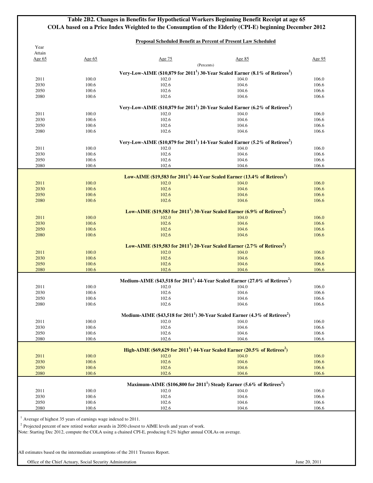## **Table 2B2. Changes in Benefits for Hypothetical Workers Beginning Benefit Receipt at age 65 COLA based on a Price Index Weighted to the Consumption of the Elderly (CPI-E) beginning December 2012**

### **Proposal Scheduled Benefit as Percent of Present Law Scheduled**

| Attain       |                |                |                                                                                                             |                |
|--------------|----------------|----------------|-------------------------------------------------------------------------------------------------------------|----------------|
| Age $65$     | Age $65$       | Age 75         | Age 85                                                                                                      | Age 95         |
|              |                |                | (Percents)                                                                                                  |                |
|              |                |                | Very-Low-AIME (\$10,879 for 2011 <sup>1</sup> ) 30-Year Scaled Earner (8.1% of Retirees <sup>2</sup> )      |                |
| 2011         | 100.0          | 102.0          | 104.0                                                                                                       | 106.0          |
| 2030         | 100.6          | 102.6          | 104.6                                                                                                       | 106.6          |
| 2050         | 100.6          | 102.6          | 104.6                                                                                                       | 106.6          |
| 2080         | 100.6          | 102.6          | 104.6                                                                                                       | 106.6          |
|              |                |                | Very-Low-AIME (\$10,879 for 2011 <sup>1</sup> ) 20-Year Scaled Earner (6.2% of Retirees <sup>2</sup> )      |                |
| 2011         | 100.0          | 102.0          | 104.0                                                                                                       | 106.0          |
| 2030         | 100.6          | 102.6          | 104.6                                                                                                       | 106.6          |
| 2050         | 100.6          | 102.6          | 104.6                                                                                                       | 106.6          |
| 2080         | 100.6          | 102.6          | 104.6                                                                                                       | 106.6          |
|              |                |                | Very-Low-AIME (\$10,879 for 2011 <sup>1</sup> ) 14-Year Scaled Earner (5.2% of Retirees <sup>2</sup> )      |                |
| 2011         | 100.0          | 102.0          | 104.0                                                                                                       | 106.0          |
| 2030         | 100.6          | 102.6          | 104.6                                                                                                       | 106.6          |
| 2050         | 100.6          | 102.6          | 104.6                                                                                                       | 106.6          |
| 2080         | 100.6          | 102.6          | 104.6                                                                                                       | 106.6          |
|              |                |                |                                                                                                             |                |
| 2011         | 100.0          | 102.0          | Low-AIME (\$19,583 for 2011 <sup>1</sup> ) 44-Year Scaled Earner (13.4% of Retirees <sup>2</sup> )<br>104.0 | 106.0          |
| 2030         | 100.6          | 102.6          | 104.6                                                                                                       | 106.6          |
| 2050         | 100.6          | 102.6          | 104.6                                                                                                       | 106.6          |
| 2080         | 100.6          | 102.6          | 104.6                                                                                                       | 106.6          |
|              |                |                |                                                                                                             |                |
|              |                |                | Low-AIME (\$19,583 for $20111$ ) 30-Year Scaled Earner (6.9% of Retirees <sup>2</sup> )                     |                |
| 2011         | 100.0          | 102.0          | 104.0                                                                                                       | 106.0          |
| 2030         | 100.6          | 102.6          | 104.6                                                                                                       | 106.6          |
| 2050         | 100.6          | 102.6          | 104.6                                                                                                       | 106.6          |
| 2080         | 100.6          | 102.6          | 104.6                                                                                                       | 106.6          |
|              |                |                | Low-AIME (\$19,583 for 2011 <sup>1</sup> ) 20-Year Scaled Earner (2.7% of Retirees <sup>2</sup> )           |                |
| 2011         | 100.0          | 102.0          | 104.0                                                                                                       | 106.0          |
| 2030         | 100.6          | 102.6          | 104.6                                                                                                       | 106.6          |
| 2050         | 100.6          | 102.6          | 104.6                                                                                                       | 106.6          |
| 2080         | 100.6          | 102.6          | 104.6                                                                                                       | 106.6          |
|              |                |                | Medium-AIME (\$43,518 for $20111$ ) 44-Year Scaled Earner (27.0% of Retirees <sup>2</sup> )                 |                |
| 2011         | 100.0          | 102.0          | 104.0                                                                                                       | 106.0          |
| 2030         | 100.6          | 102.6          | 104.6                                                                                                       | 106.6          |
| 2050         | 100.6          | 102.6          | 104.6                                                                                                       | 106.6          |
| 2080         | 100.6          | 102.6          | 104.6                                                                                                       | 106.6          |
|              |                |                |                                                                                                             |                |
|              |                |                | Medium-AIME (\$43,518 for 2011 <sup>1</sup> ) 30-Year Scaled Earner (4.3% of Retirees <sup>2</sup> )        |                |
| 2011         | 100.0          | 102.0          | 104.0                                                                                                       | 106.0          |
| 2030<br>2050 | 100.6<br>100.6 | 102.6<br>102.6 | 104.6<br>104.6                                                                                              | 106.6<br>106.6 |
| 2080         | 100.6          | 102.6          | 104.6                                                                                                       | 106.6          |
|              |                |                |                                                                                                             |                |
|              |                |                | High-AIME (\$69,629 for $20111$ ) 44-Year Scaled Earner (20.5% of Retirees <sup>2</sup> )                   |                |
| 2011         | 100.0          | 102.0          | 104.0                                                                                                       | 106.0          |
| 2030         | 100.6          | 102.6          | 104.6                                                                                                       | 106.6          |
| 2050         | 100.6          | 102.6          | 104.6                                                                                                       | 106.6          |
| 2080         | 100.6          | 102.6          | 104.6                                                                                                       | 106.6          |
|              |                |                | Maximum-AIME (\$106,800 for 2011 <sup>1</sup> ) Steady Earner (5.6% of Retirees <sup>2</sup> )              |                |
| 2011         | 100.0          | 102.0          | 104.0                                                                                                       | 106.0          |
| 2030         | 100.6          | 102.6          | 104.6                                                                                                       | 106.6          |
|              | 100.6          | 102.6          | 104.6                                                                                                       | 106.6          |
| 2050         |                |                |                                                                                                             |                |

All estimates based on the intermediate assumptions of the 2011 Trustees Report.

Office of the Chief Actuary, Social Security Adminstration June 20, 2011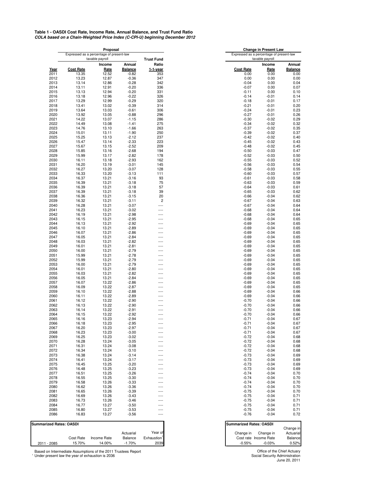<sup>1</sup> Under present law the year of exhaustion is 2036 Based on Intermediate Assumptions of the 2011 Trustees Report Chief Actuary Chief Actuary Chief Actuary

**COLA based on a Chain-Weighted Price Index (C-CPI-U) beginning December 2012 Table 1 - OASDI Cost Rate, Income Rate, Annual Balance, and Trust Fund Ratio**

|              |                                          | <b>Proposal</b> |                    |                                          |                    | <b>Change in Present Law</b> |                |
|--------------|------------------------------------------|-----------------|--------------------|------------------------------------------|--------------------|------------------------------|----------------|
|              | Expressed as a percentage of present-law |                 |                    | Expressed as a percentage of present-law |                    |                              |                |
|              |                                          | taxable payroll |                    | <b>Trust Fund</b>                        |                    | taxable payroll              |                |
|              |                                          | Income          | Annual             | Ratio                                    |                    | Income                       | Annual         |
| Year         | <b>Cost Rate</b>                         | Rate            | <b>Balance</b>     | $1-1$ -year                              | <b>Cost Rate</b>   | Rate                         | <b>Balance</b> |
| 2011         | 13.35                                    | 12.52           | $-0.82$            | 353                                      | 0.00               | 0.00                         | 0.00           |
| 2012         | 13.23                                    | 12.87           | $-0.36$            | 347                                      | 0.00               | 0.00                         | 0.00           |
| 2013         | 13.14<br>13.11                           | 12.86           | $-0.28$            | 342                                      | $-0.04$            | 0.00                         | 0.04<br>0.07   |
| 2014         |                                          | 12.91           | $-0.20$            | 336                                      | $-0.07$<br>$-0.11$ | 0.00                         |                |
| 2015<br>2016 | 13.13<br>13.18                           | 12.94<br>12.96  | $-0.20$<br>$-0.22$ | 331<br>326                               | $-0.14$            | 0.00<br>$-0.01$              | 0.10           |
| 2017         | 13.29                                    | 12.99           | $-0.29$            | 320                                      | $-0.18$            | $-0.01$                      | 0.14<br>0.17   |
| 2018         | 13.41                                    | 13.02           | $-0.39$            | 314                                      | $-0.21$            | $-0.01$                      | 0.20           |
| 2019         | 13.64                                    | 13.03           | $-0.61$            | 306                                      | $-0.24$            | $-0.01$                      | 0.23           |
| 2020         | 13.92                                    | 13.05           | $-0.88$            | 296                                      | $-0.27$            | $-0.01$                      | 0.26           |
| 2021         | 14.22                                    | 13.07           | $-1.15$            | 286                                      | $-0.30$            | $-0.02$                      | 0.29           |
| 2022         | 14.49                                    | 13.08           | $-1.41$            | 275                                      | $-0.34$            | $-0.02$                      | 0.32           |
| 2023         | 14.76                                    | 13.10           | $-1.66$            | 263                                      | $-0.37$            | $-0.02$                      | 0.35           |
| 2024         | 15.01                                    | 13.11           | $-1.90$            | 250                                      | $-0.39$            | $-0.02$                      | 0.37           |
| 2025         | 15.25                                    | 13.13           | $-2.12$            | 237                                      | $-0.42$            | $-0.02$                      | 0.40           |
| 2026         | 15.47                                    | 13.14           | $-2.33$            | 223                                      | $-0.45$            | $-0.02$                      | 0.43           |
| 2027         | 15.67                                    | 13.15           | $-2.52$            | 209                                      | $-0.48$            | $-0.02$                      | 0.45           |
| 2028         | 15.85                                    | 13.16           | $-2.68$            | 194                                      | $-0.50$            | $-0.03$                      | 0.47           |
| 2029         | 15.99                                    | 13.17           | $-2.82$            | 178                                      | $-0.52$            | $-0.03$                      | 0.50           |
| 2030         | 16.11                                    | 13.18           | $-2.93$            | 162                                      | $-0.55$            | $-0.03$                      | 0.52           |
| 2031         | 16.20                                    | 13.19           | $-3.01$            | 145                                      | $-0.56$            | $-0.03$                      | 0.54           |
| 2032         | 16.27                                    | 13.20           | $-3.07$            | 128                                      | $-0.58$            | $-0.03$                      | 0.55           |
| 2033         | 16.33                                    | 13.20           | $-3.13$            | 111                                      | $-0.60$            | $-0.03$                      | 0.57           |
| 2034         | 16.37                                    | 13.21           | $-3.16$            | 93                                       | $-0.61$            | $-0.03$                      | 0.58           |
| 2035         | 16.39                                    | 13.21           | $-3.18$            | 75                                       | $-0.63$            | $-0.03$                      | 0.59           |
| 2036         | 16.39                                    | 13.21           | $-3.18$            | 57                                       | $-0.64$            | $-0.03$                      | 0.61           |
| 2037         | 16.39                                    | 13.21           | $-3.18$            | 39                                       | $-0.65$            | $-0.03$                      | 0.62           |
| 2038         | 16.36                                    | 13.21           | $-3.15$            | 20                                       | $-0.66$            | $-0.04$                      | 0.62           |
| 2039         | 16.32                                    | 13.21           | $-3.11$            | $\mathbf{2}$                             | $-0.67$            | $-0.04$                      | 0.63           |
| 2040         | 16.28                                    | 13.21           | $-3.07$            | ----                                     | $-0.67$            | $-0.04$                      | 0.64           |
| 2041         | 16.23                                    | 13.21           | $-3.02$            | ----                                     | $-0.68$            | $-0.04$                      | 0.64           |
| 2042         | 16.19                                    | 13.21           | $-2.98$            | ----                                     | $-0.68$            | $-0.04$                      | 0.64           |
| 2043         | 16.15                                    | 13.21           | $-2.95$            | ----                                     | $-0.68$            | $-0.04$                      | 0.65           |
| 2044         | 16.13                                    | 13.21           | $-2.92$            | ----                                     | $-0.69$            | $-0.04$                      | 0.65           |
| 2045         | 16.10                                    | 13.21           | $-2.89$            | ----                                     | $-0.69$            | $-0.04$                      | 0.65           |
| 2046         | 16.07                                    | 13.21           | $-2.86$            | ----                                     | $-0.69$            | $-0.04$                      | 0.65           |
| 2047         | 16.05                                    | 13.21           | $-2.84$            | ----                                     | $-0.69$            | $-0.04$                      | 0.65           |
| 2048         | 16.03                                    | 13.21           | $-2.82$            | ----                                     | $-0.69$            | $-0.04$                      | 0.65           |
| 2049         | 16.01                                    | 13.21           | $-2.81$            | ----                                     | $-0.69$            | $-0.04$                      | 0.65           |
| 2050         | 16.00                                    | 13.21           | $-2.79$            | ----                                     | $-0.69$            | $-0.04$                      | 0.65           |
| 2051         | 15.99                                    | 13.21           | $-2.78$            | ----                                     | $-0.69$            | $-0.04$                      | 0.65           |
| 2052         | 15.99                                    | 13.21           | $-2.79$            | ----                                     | $-0.69$            | $-0.04$                      | 0.65           |
| 2053         | 16.00                                    | 13.21           | $-2.79$            | ----                                     | $-0.69$            | $-0.04$                      | 0.65           |
| 2054         | 16.01                                    | 13.21           | $-2.80$            | ----                                     | $-0.69$            | $-0.04$                      | 0.65           |
| 2055         | 16.03                                    | 13.21           | $-2.82$            | ----                                     | $-0.69$            | $-0.04$                      | 0.65           |
| 2056         | 16.05                                    | 13.21           | $-2.84$            | ----                                     | $-0.69$            | $-0.04$                      | 0.65           |
| 2057         | 16.07                                    | 13.22           | $-2.86$            | ----                                     | $-0.69$            | $-0.04$                      | 0.65           |
| 2058         | 16.09                                    | 13.22           | $-2.87$            | ----                                     | $-0.69$            | $-0.04$                      | 0.65           |
| 2059         | 16.10                                    | 13.22           | $-2.88$            | ----                                     | $-0.69$            | $-0.04$                      | 0.66           |
| 2060         | 16.11                                    | 13.22           | $-2.89$            | ----                                     | $-0.69$            | $-0.04$                      | 0.66           |
| 2061         | 16.12                                    | 13.22           | $-2.90$            | ----                                     | $-0.70$            | $-0.04$                      | 0.66           |
| 2062         | 16.13                                    | 13.22           | $-2.90$            | ----                                     | $-0.70$            | $-0.04$                      | 0.66           |
| 2063         | 16.14                                    | 13.22           | $-2.91$            | ----                                     | $-0.70$            | $-0.04$                      | 0.66           |
| 2064         | 16.15                                    | 13.22           | $-2.92$            | ----                                     | $-0.70$            | $-0.04$<br>$-0.04$           | 0.66<br>0.67   |
| 2065<br>2066 | 16.16<br>16.18                           | 13.23<br>13.23  | $-2.94$<br>$-2.95$ | ----                                     | $-0.71$<br>$-0.71$ | $-0.04$                      | 0.67           |
| 2067         | 16.20                                    | 13.23           | $-2.97$            | ----                                     | $-0.71$            | $-0.04$                      | 0.67           |
| 2068         | 16.23                                    | 13.23           | $-3.00$            | ----<br>----                             | $-0.71$            | $-0.04$                      | 0.67           |
| 2069         | 16.25                                    | 13.23           | $-3.02$            | ----                                     | $-0.72$            | $-0.04$                      | 0.68           |
| 2070         | 16.28                                    | 13.24           | $-3.05$            | ----                                     | $-0.72$            | $-0.04$                      | 0.68           |
| 2071         | 16.31                                    | 13.24           | $-3.08$            | ----                                     | $-0.72$            | $-0.04$                      | 0.68           |
| 2072         | 16.34                                    | 13.24           | $-3.10$            | ----                                     | $-0.72$            | $-0.04$                      | 0.68           |
| 2073         | 16.38                                    | 13.24           | $-3.14$            | ----                                     | $-0.73$            | $-0.04$                      | 0.69           |
| 2074         | 16.41                                    | 13.24           | $-3.17$            | ----                                     | $-0.73$            | $-0.04$                      | 0.69           |
| 2075         | 16.45                                    | 13.25           | $-3.20$            | ----                                     | $-0.73$            | $-0.04$                      | 0.69           |
| 2076         | 16.48                                    | 13.25           | $-3.23$            | ----                                     | $-0.73$            | $-0.04$                      | 0.69           |
| 2077         | 16.51                                    | 13.25           | $-3.26$            | ----                                     | $-0.74$            | $-0.04$                      | 0.70           |
| 2078         | 16.55                                    | 13.25           | $-3.30$            | ----                                     | $-0.74$            | $-0.04$                      | 0.70           |
| 2079         |                                          |                 |                    |                                          |                    |                              |                |
|              | 16.58                                    | 13.26<br>13.26  | $-3.33$<br>$-3.36$ |                                          | $-0.74$<br>$-0.74$ | $-0.04$                      | 0.70           |
| 2080<br>2081 | 16.62<br>16.65                           | 13.26           | $-3.39$            | ----<br>----                             | $-0.75$            | $-0.04$<br>$-0.04$           | 0.70<br>0.70   |
| 2082         | 16.69                                    | 13.26           | $-3.43$            |                                          | $-0.75$            | $-0.04$                      | 0.71           |
| 2083         | 16.73                                    | 13.26           | $-3.46$            | ----<br>----                             | $-0.75$            | $-0.04$                      | 0.71           |
| 2084         | 16.77                                    | 13.27           | $-3.50$            | ----                                     | $-0.75$            | $-0.04$                      | 0.71           |
| 2085         | 16.80                                    | 13.27           | $-3.53$            | ----                                     | $-0.75$            | $-0.04$                      | 0.71           |
| 2086         | 16.83                                    | 13.27           | $-3.56$            |                                          | $-0.76$            | $-0.04$                      | 0.72           |
|              |                                          |                 |                    | ----                                     |                    |                              |                |

|                                          | <b>Change in Present Law</b> |                |
|------------------------------------------|------------------------------|----------------|
| Expressed as a percentage of present-law |                              |                |
|                                          | taxable payroll              |                |
|                                          | Income                       | <b>Annual</b>  |
| <b>Cost Rate</b>                         | <b>Rate</b>                  | <b>Balance</b> |
| 0.00                                     | 0.00                         | 0.00           |
| 0.00                                     | 0.00                         | 0.00           |
| $-0.04$                                  | 0.00                         | 0.04           |
| $-0.07$                                  | 0.00                         | 0.07           |
| $-0.11$                                  | 0.00                         | 0.10           |
| $-0.14$                                  | $-0.01$                      | 0.14           |
| $-0.18$                                  | $-0.01$                      | 0.17           |
| $-0.21$                                  | $-0.01$                      | 0.20           |
| $-0.24$                                  | $-0.01$                      | 0.23           |
| $-0.27$                                  | $-0.01$                      | 0.26           |
| $-0.30$                                  | $-0.02$                      | 0.29           |
| $-0.34$<br>$-0.37$                       | $-0.02$                      | 0.32<br>0.35   |
|                                          | $-0.02$                      |                |
| $-0.39$<br>$-0.42$                       | $-0.02$<br>$-0.02$           | 0.37<br>0.40   |
| $-0.45$                                  | $-0.02$                      | 0.43           |
| $-0.48$                                  | $-0.02$                      | 0.45           |
| $-0.50$                                  | $-0.03$                      | 0.47           |
| $-0.52$                                  | $-0.03$                      | 0.50           |
| $-0.55$                                  | $-0.03$                      | 0.52           |
| $-0.56$                                  | $-0.03$                      | 0.54           |
| $-0.58$                                  | $-0.03$                      | 0.55           |
| $-0.60$                                  | $-0.03$                      | 0.57           |
| $-0.61$                                  | $-0.03$                      | 0.58           |
| $-0.63$                                  | $-0.03$                      | 0.59           |
| $-0.64$                                  | $-0.03$                      | 0.61           |
| $-0.65$                                  | $-0.03$                      | 0.62           |
| $-0.66$                                  | $-0.04$                      | 0.62           |
| $-0.67$                                  | $-0.04$                      | 0.63           |
| $-0.67$                                  | $-0.04$                      | 0.64           |
| $-0.68$                                  | $-0.04$                      | 0.64           |
| $-0.68$                                  | $-0.04$                      | 0.64           |
| $-0.68$                                  | $-0.04$                      | 0.65           |
| $-0.69$                                  | $-0.04$                      | 0.65           |
| $-0.69$                                  | $-0.04$                      | 0.65           |
| $-0.69$                                  | $-0.04$                      | 0.65           |
| $-0.69$                                  | $-0.04$                      | 0.65           |
| $-0.69$                                  | $-0.04$                      | 0.65           |
| $-0.69$                                  | $-0.04$                      | 0.65           |
| $-0.69$                                  | $-0.04$                      | 0.65           |
| $-0.69$                                  | $-0.04$                      | 0.65           |
| $-0.69$                                  | $-0.04$                      | 0.65           |
| $-0.69$                                  | $-0.04$                      | 0.65           |
| $-0.69$                                  | $-0.04$                      | 0.65           |
| $-0.69$                                  | $-0.04$                      | 0.65           |
| $-0.69$                                  | $-0.04$                      | 0.65           |
| $-0.69$                                  | $-0.04$                      | 0.65           |
| $-0.69$                                  | $-0.04$                      | 0.65           |
| $-0.69$                                  | $-0.04$                      | 0.66           |
| $-0.69$                                  | $-0.04$                      | 0.66           |
| $-0.70$                                  | $-0.04$                      | 0.66           |
| $-0.70$                                  | $-0.04$                      | 0.66           |
| $-0.70$                                  | $-0.04$                      | 0.66           |
| $-0.70$                                  | $-0.04$                      | 0.66           |
| $-0.71$                                  | $-0.04$                      | 0.67           |

| <b>Summarized Rates: OASDI</b> |           |             |           |             | <b>Summarized Rates: OASDI</b> |           |
|--------------------------------|-----------|-------------|-----------|-------------|--------------------------------|-----------|
|                                |           |             |           |             |                                | Change in |
|                                |           |             | Actuarial | Year of     | Change in<br>Change in         | Actuaria  |
|                                | Cost Rate | Income Rate | Balance   | Exhaustion' | Cost rate Income Rate          | Balance   |
| l - 2085<br>2011               | 15.70%    | 14.00%      | $-1.70%$  | 2039        | $-0.03%$<br>$-0.55%$           | 0.52%     |

> June 20, 2011 Social Security Administration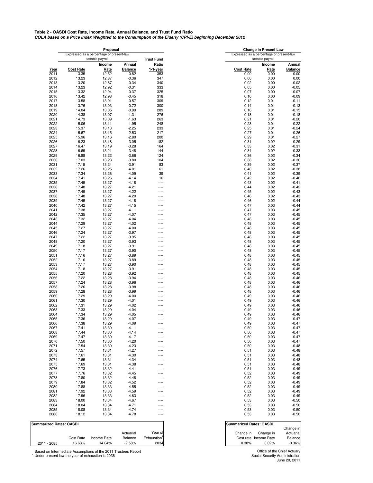<sup>1</sup> Under present law the year of exhaustion is 2036 Based on Intermediate Assumptions of the 2011 Trustees Report **Chief Actuary Office of the Chief Actuary** 

**COLA based on a Price Index Weighted to the Consumption of the Elderly (CPI-E) beginning December 2012 Table 2 - OASDI Cost Rate, Income Rate, Annual Balance, and Trust Fund Ratio**

|              |                                                             | Proposal       |                    |                            |                                                             |                                | <b>Change in Present Law</b> |                        |
|--------------|-------------------------------------------------------------|----------------|--------------------|----------------------------|-------------------------------------------------------------|--------------------------------|------------------------------|------------------------|
|              | Expressed as a percentage of present-law<br>taxable payroll |                |                    |                            | Expressed as a percentage of present-law<br>taxable payroll |                                |                              |                        |
|              |                                                             | Income         | <b>Annual</b>      | <b>Trust Fund</b><br>Ratio |                                                             |                                | Income                       | <b>Annual</b>          |
| Year         | <b>Cost Rate</b>                                            | Rate           | <b>Balance</b>     | 1-1-year                   |                                                             | <b>Cost Rate</b>               | Rate                         | <b>Balance</b>         |
| 2011         | 13.35                                                       | 12.52          | $-0.82$            | 353                        |                                                             | 0.00                           | 0.00                         | 0.00                   |
| 2012         | 13.23                                                       | 12.87          | $-0.36$            | 347                        |                                                             | 0.00                           | 0.00                         | 0.00                   |
| 2013         | 13.20                                                       | 12.87          | $-0.34$            | 340                        |                                                             | 0.02                           | 0.00                         | $-0.02$                |
| 2014         | 13.23                                                       | 12.92          | $-0.31$            | 333                        |                                                             | 0.05                           | 0.00                         | $-0.05$                |
| 2015         | 13.32                                                       | 12.94          | $-0.37$            | 325                        |                                                             | 0.07                           | 0.00                         | $-0.07$                |
| 2016         | 13.42                                                       | 12.98          | $-0.45$            | 318                        |                                                             | 0.10                           | 0.00                         | $-0.09$                |
| 2017         | 13.58                                                       | 13.01          | $-0.57$            | 309                        |                                                             | 0.12                           | 0.01                         | $-0.11$                |
| 2018         | 13.76                                                       | 13.03          | $-0.72$            | 300                        |                                                             | 0.14                           | 0.01                         | $-0.13$                |
| 2019<br>2020 | 14.04<br>14.38                                              | 13.05<br>13.07 | $-0.99$<br>$-1.31$ | 289<br>276                 |                                                             | 0.16<br>0.18                   | 0.01<br>0.01                 | $-0.15$<br>$-0.18$     |
| 2021         | 14.73                                                       | 13.09          | $-1.63$            | 263                        |                                                             | 0.21                           | 0.01                         | $-0.20$                |
| 2022         | 15.06                                                       | 13.11          | $-1.95$            | 248                        |                                                             | 0.23                           | 0.01                         | $-0.22$                |
| 2023         | 15.37                                                       | 13.13          | $-2.25$            | 233                        |                                                             | 0.25                           | 0.01                         | $-0.24$                |
| 2024         | 15.67                                                       | 13.15          | $-2.53$            | 217                        |                                                             | 0.27                           | 0.01                         | $-0.26$                |
| 2025         | 15.96                                                       | 13.16          | $-2.80$            | 200                        |                                                             | 0.29                           | 0.01                         | $-0.27$                |
| 2026         | 16.23                                                       | 13.18          | $-3.05$            | 182                        |                                                             | 0.31                           | 0.02                         | $-0.29$                |
| 2027         | 16.47                                                       | 13.19          | $-3.28$            | 164                        |                                                             | 0.33                           | 0.02                         | $-0.31$                |
| 2028         | 16.69                                                       | 13.21          | $-3.48$            | 144                        |                                                             | 0.34                           | 0.02                         | $-0.33$                |
| 2029         | 16.88                                                       | 13.22          | $-3.66$            | 124                        |                                                             | 0.36                           | 0.02                         | $-0.34$                |
| 2030         | 17.03                                                       | 13.23          | $-3.80$            | 104                        |                                                             | 0.38                           | 0.02                         | $-0.36$                |
| 2031         | 17.15                                                       | 13.24          | $-3.91$            | 83                         |                                                             | 0.39                           | 0.02                         | $-0.37$                |
| 2032         | 17.26                                                       | 13.25          | $-4.01$            | 61                         |                                                             | 0.40                           | 0.02                         | $-0.38$                |
| 2033         | 17.34                                                       | 13.26          | $-4.09$            | 39                         |                                                             | 0.41                           | 0.02                         | $-0.39$                |
| 2034         | 17.41                                                       | 13.26          | $-4.14$            | 16                         |                                                             | 0.42                           | 0.02                         | $-0.40$                |
| 2035         | 17.45                                                       | 13.27          | $-4.18$            | ----                       |                                                             | 0.43                           | 0.02                         | $-0.41$                |
| 2036         | 17.48                                                       | 13.27          | $-4.21$            | ----                       |                                                             | 0.44                           | 0.02                         | $-0.42$                |
| 2037         | 17.49                                                       | 13.27          | $-4.22$            | ----                       |                                                             | 0.45                           | 0.02                         | $-0.43$                |
| 2038         | 17.48                                                       | 13.27          | $-4.20$            | ----                       |                                                             | 0.46                           | 0.02                         | $-0.43$                |
| 2039         | 17.45                                                       | 13.27          | $-4.18$            | ----                       |                                                             | 0.46                           | 0.02                         | $-0.44$                |
| 2040         | 17.42                                                       | 13.27          | $-4.15$            | ----                       |                                                             | 0.47                           | 0.03                         | $-0.44$                |
| 2041         | 17.38                                                       | 13.27          | $-4.11$            | ----                       |                                                             | 0.47                           | 0.03                         | $-0.45$                |
| 2042         | 17.35                                                       | 13.27          | $-4.07$            |                            |                                                             | 0.47                           | 0.03                         | $-0.45$                |
| 2043         | 17.32                                                       | 13.27          | $-4.04$            | ----                       |                                                             | 0.48                           | 0.03                         | $-0.45$                |
| 2044         | 17.29                                                       | 13.27          | $-4.02$            | ----                       |                                                             | 0.48                           | 0.03                         | $-0.45$                |
| 2045         | 17.27                                                       | 13.27          | $-4.00$            | ----                       |                                                             | 0.48                           | 0.03                         | $-0.45$                |
| 2046         | 17.24                                                       | 13.27          | $-3.97$            | ----                       |                                                             | 0.48                           | 0.03                         | $-0.45$                |
| 2047<br>2048 | 17.22<br>17.20                                              | 13.27<br>13.27 | $-3.95$<br>$-3.93$ | $- - - -$                  |                                                             | 0.48<br>0.48                   | 0.03<br>0.03                 | $-0.45$<br>$-0.45$     |
| 2049         | 17.18                                                       | 13.27          | $-3.91$            |                            |                                                             | 0.48                           | 0.03                         | $-0.45$                |
| 2050         | 17.17                                                       | 13.27          | $-3.90$            | ----                       |                                                             | 0.48                           | 0.03                         | $-0.45$                |
| 2051         | 17.16                                                       | 13.27          | $-3.89$            | ----                       |                                                             | 0.48                           | 0.03                         | $-0.45$                |
| 2052         | 17.16                                                       | 13.27          | $-3.89$            | ----                       |                                                             | 0.48                           | 0.03                         | $-0.45$                |
| 2053         | 17.17                                                       | 13.27          | $-3.90$            | ----                       |                                                             | 0.48                           | 0.03                         | $-0.45$                |
| 2054         | 17.18                                                       | 13.27          | $-3.91$            | $- - - -$                  |                                                             | 0.48                           | 0.03                         | $-0.45$                |
| 2055         | 17.20                                                       | 13.28          | $-3.92$            | ----                       |                                                             | 0.48                           | 0.03                         | $-0.45$                |
| 2056         | 17.22                                                       | 13.28          | $-3.94$            | ----                       |                                                             | 0.48                           | 0.03                         | $-0.46$                |
| 2057         | 17.24                                                       | 13.28          | $-3.96$            | ----                       |                                                             | 0.48                           | 0.03                         | $-0.46$                |
| 2058         | 17.26                                                       | 13.28          | $-3.98$            | ----                       |                                                             | 0.48                           | 0.03                         | $-0.46$                |
| 2059         | 17.28                                                       | 13.28          | $-3.99$            | ----                       |                                                             | 0.48                           | 0.03                         | $-0.46$                |
| 2060         | 17.29                                                       | 13.29          | $-4.00$            | ----                       |                                                             | 0.49                           | 0.03                         | $-0.46$                |
| 2061         | 17.30                                                       | 13.29          | $-4.01$            | ----                       |                                                             | 0.49                           | 0.03                         | $-0.46$                |
| 2062         | 17.31                                                       | 13.29          | $-4.02$            | $- - - -$                  |                                                             | 0.49                           | 0.03                         | $-0.46$                |
| 2063         | 17.33                                                       | 13.29          | $-4.04$            | $- - - -$                  |                                                             | 0.49                           | 0.03                         | $-0.46$                |
| 2064         | 17.34                                                       | 13.29          | $-4.05$            |                            |                                                             | 0.49                           | 0.03                         | $-0.46$                |
| 2065         | 17.36                                                       | 13.29          | $-4.07$            |                            |                                                             | 0.49                           | 0.03                         | $-0.47$                |
| 2066         | 17.38                                                       | 13.29          | $-4.09$            | ----                       |                                                             | 0.49                           | 0.03                         | $-0.47$                |
| 2067         | 17.41                                                       | 13.30          | $-4.11$            | ----                       |                                                             | 0.50                           | 0.03                         | $-0.47$                |
| 2068         | 17.44                                                       | 13.30          | $-4.14$            | ----                       |                                                             | 0.50                           | 0.03                         | $-0.47$                |
| 2069         | 17.47                                                       | 13.30          | $-4.17$            | $- - - -$                  |                                                             | 0.50                           | 0.03                         | $-0.47$                |
| 2070         | 17.50                                                       | 13.30          | $-4.20$            | $- - - -$                  |                                                             | 0.50                           | 0.03                         | $-0.47$                |
| 2071         | 17.54                                                       | 13.30          | $-4.23$            |                            |                                                             | 0.50                           | 0.03                         | $-0.48$                |
| 2072         | 17.57                                                       | 13.31          | $-4.27$            |                            |                                                             | 0.51                           | 0.03                         | $-0.48$                |
| 2073<br>2074 | 17.61<br>17.65                                              | 13.31<br>13.31 | $-4.30$<br>$-4.34$ | ----                       |                                                             | 0.51<br>0.51                   | 0.03<br>0.03                 | $-0.48$<br>$-0.48$     |
| 2075         | 17.69                                                       | 13.31          | $-4.38$            | ----<br>----               |                                                             | 0.51                           | 0.03                         | $-0.48$                |
| 2076         | 17.73                                                       | 13.32          | $-4.41$            | ----                       |                                                             | 0.51                           | 0.03                         | $-0.49$                |
| 2077         | 17.76                                                       | 13.32          | $-4.45$            |                            |                                                             | 0.52                           | 0.03                         | $-0.49$                |
| 2078         | 17.80                                                       | 13.32          | $-4.48$            | $- - - -$                  |                                                             | 0.52                           | 0.03                         | $-0.49$                |
| 2079         | 17.84                                                       | 13.32          | $-4.52$            |                            |                                                             | 0.52                           | 0.03                         | $-0.49$                |
| 2080         | 17.88                                                       | 13.33          | $-4.55$            | $---$                      |                                                             | 0.52                           | 0.03                         | $-0.49$                |
| 2081         | 17.92                                                       | 13.33          | $-4.59$            | ----                       |                                                             | 0.52                           | 0.03                         | $-0.49$                |
| 2082         | 17.96                                                       | 13.33          | $-4.63$            | ----                       |                                                             | 0.52                           | 0.03                         | $-0.49$                |
| 2083         | 18.00                                                       | 13.34          | $-4.67$            | ----                       |                                                             | 0.53                           | 0.03                         | $-0.50$                |
| 2084         | 18.04                                                       | 13.34          | $-4.71$            | $---$                      |                                                             | 0.53                           | 0.03                         | $-0.50$                |
| 2085         | 18.08                                                       | 13.34          | $-4.74$            | ----                       |                                                             | 0.53                           | 0.03                         | $-0.50$                |
| 2086         | 18.12                                                       | 13.34          | $-4.78$            | ----                       |                                                             | 0.53                           | 0.03                         | $-0.50$                |
|              |                                                             |                |                    |                            |                                                             |                                |                              |                        |
|              | <b>Summarized Rates: OASDI</b>                              |                |                    |                            |                                                             | <b>Summarized Rates: OASDI</b> |                              |                        |
|              |                                                             |                | Actuarial          | Year of                    |                                                             | Change in                      | Change in                    | Change in<br>Actuarial |
|              | <b>Cost Rate</b>                                            | Income Rate    | Balance            | Exhaustion <sup>1</sup>    |                                                             | Cost rate Income Rate          |                              | <b>Balance</b>         |
| 2011 - 2085  | 16.63%                                                      | 14.04%         | $-2.58%$           | 2034                       |                                                             | 0.38%                          | 0.02%                        | $-0.36%$               |
|              |                                                             |                |                    |                            |                                                             |                                |                              |                        |

June 20, 2011 Social Security Administration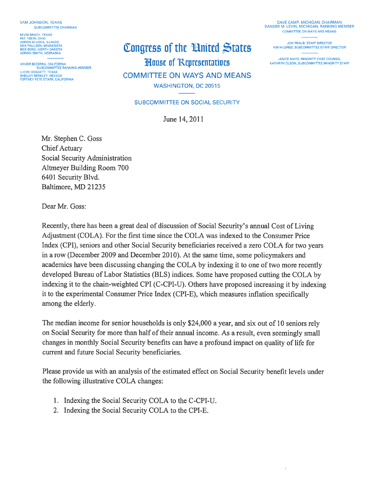**SAM JOHNSON, TEXAS** SUBCOMMITTEE CHAIRMAN

**KEVIN BRADY, TEXAS PAT TIBERI, OHIO<br>AARON SCHOCK, ILLINOIS FRIK PAULSEN, MINNESOTA** RICK BERG, NORTH DAKOTA<br>ADRIAN SMITH, NEBRASKA

XAVIER BECERRA, CALIFORNIA<br>SUBCOMMITTEE RANKING MEMBER LLOYD DOGGETT, TEXAS<br>SHELLEY BERKLEY, NEVADA FORTNEY PETE STARK, CALIFORNIA

# Congress of the Hnited States

**House of Representatives** 

**COMMITTEE ON WAYS AND MEANS** 

WASHINGTON, DC 20515

#### SUBCOMMITTEE ON SOCIAL SECURITY

June 14, 2011

Mr. Stephen C. Goss

**Chief Actuary** Social Security Administration Altmeyer Building Room 700 6401 Security Blvd. Baltimore, MD 21235

Dear Mr. Goss:

Recently, there has been a great deal of discussion of Social Security's annual Cost of Living Adjustment (COLA). For the first time since the COLA was indexed to the Consumer Price Index (CPI), seniors and other Social Security beneficiaries received a zero COLA for two years in a row (December 2009 and December 2010). At the same time, some policymakers and academics have been discussing changing the COLA by indexing it to one of two more recently developed Bureau of Labor Statistics (BLS) indices. Some have proposed cutting the COLA by indexing it to the chain-weighted CPI (C-CPI-U). Others have proposed increasing it by indexing it to the experimental Consumer Price Index (CPI-E), which measures inflation specifically among the elderly.

The median income for senior households is only \$24,000 a year, and six out of 10 seniors rely on Social Security for more than half of their annual income. As a result, even seemingly small changes in monthly Social Security benefits can have a profound impact on quality of life for current and future Social Security beneficiaries.

Please provide us with an analysis of the estimated effect on Social Security benefit levels under the following illustrative COLA changes:

- 1. Indexing the Social Security COLA to the C-CPI-U.
- 2. Indexing the Social Security COLA to the CPI-E.

DAVE CAMP, MICHIGAN, CHAIRMAN SANDER M. LEVIN, MICHIGAN, RANKING MEMBER **COMMITTEE ON WAYS AND MEANS** 

JON TRAUB, STAFF DIRECTOR KIM HILDRED, SUBCOMMITTEE STAFF DIRECTOR

JANICE MAYS, MINORITY CHIEF COUNSEL KATHRYN OLSON, SUBCOMMITTEE MINORITY STAFF